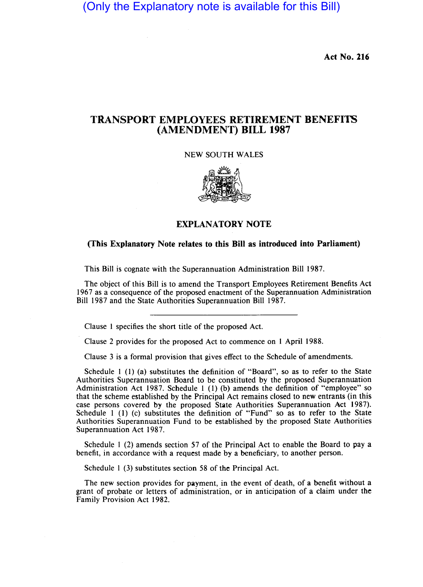(Only the Explanatory note is available for this Bill)

Act No. 116

## TRANSPORT EMPLOYEES RETIREMENT BENEFITS (AMENDMENT) **BILL** 1987

NEW SOUTH WALES



## EXPLANATORY NOTE

## (This Explanatory Note relates to this Bill as introduced into Parliament)

This Bill is cognate with the Superannuation Administration Bill 1987.

The object of this Bill is to amend the Transport Employees Retirement Benefits Act 1967 as a consequence of the proposed enactment of the Superannuation Administration Bill 1987 and the State Authorities Superannuation Bill 1987.

Clause 1 specifies the short title of the proposed Act.

Clause 2 provides for the proposed Act to commence on 1 April 1988.

Clause 3 is a formal provision that gives effect to the Schedule of amendments.

Schedule 1 (1) (a) substitutes the definition of "Board", so as to refer to the State Authorities Superannuation Board to be constituted by the proposed Superannuation Administration Act 1987. Schedule 1 (1) (b) amends the definition of "employee" so that the scheme established by the Principal Act remains closed to new entrants (in this case persons covered by the proposed State Authorities Superannuation Act 1987). Schedule 1 (1) (c) substitutes the definition of "Fund" so as to refer to the State Authorities Superannuation Fund to be established by the proposed State Authorities Superannuation Act 1987.

Schedule 1 (2) amends section 57 of the Principal Act to enable the Board to pay a benefit, in accordance with a request made by a beneficiary, to another person.

Schedule 1 (3) substitutes section 58 of the Principal Act.

The new section provides for payment, in the event of death, of a benefit without a grant of probate or letters of administration, or in anticipation of a claim under the Family Provision Act 1982.